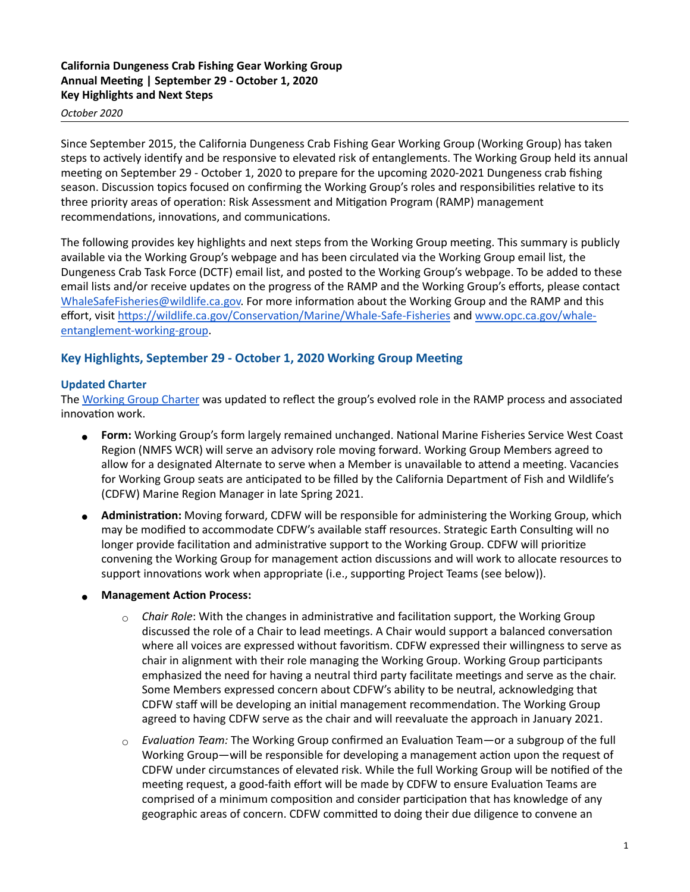## **California Dungeness Crab Fishing Gear Working Group**  Annual Meeting | September 29 - October 1, 2020 **Key Highlights and Next Steps**

#### *October 2020*

Since September 2015, the California Dungeness Crab Fishing Gear Working Group (Working Group) has taken steps to actively identify and be responsive to elevated risk of entanglements. The Working Group held its annual meeting on September 29 - October 1, 2020 to prepare for the upcoming 2020-2021 Dungeness crab fishing season. Discussion topics focused on confirming the Working Group's roles and responsibilities relative to its three priority areas of operation: Risk Assessment and Mitigation Program (RAMP) management recommendations, innovations, and communications.

The following provides key highlights and next steps from the Working Group meeting. This summary is publicly available via the Working Group's webpage and has been circulated via the Working Group email list, the Dungeness Crab Task Force (DCTF) email list, and posted to the Working Group's webpage. To be added to these email lists and/or receive updates on the progress of the RAMP and the Working Group's efforts, please contact [WhaleSafeFisheries@wildlife.ca.gov.](mailto:WhaleSafeFisheries@wildlife.ca.gov) For more information about the Working Group and the RAMP and this effort, visit https://wildlife.ca.gov/Conservation/Marine/Whale-Safe-Fisheries and [www.opc.ca.gov/whale](http://www.opc.ca.gov/whale-entanglement-working-group)[entanglement-working-group](http://www.opc.ca.gov/whale-entanglement-working-group).

# Key Highlights, September 29 - October 1, 2020 Working Group Meeting

## **Updated Charter**

The [Working Group Charter](https://www.opc.ca.gov/webmaster/_media_library/2020/11/CAWhaleWorkingGroup_UpdatedCharter_October2020.pdf) was updated to reflect the group's evolved role in the RAMP process and associated innovation work.

- Form: Working Group's form largely remained unchanged. National Marine Fisheries Service West Coast Region (NMFS WCR) will serve an advisory role moving forward. Working Group Members agreed to allow for a designated Alternate to serve when a Member is unavailable to attend a meeting. Vacancies for Working Group seats are anticipated to be filled by the California Department of Fish and Wildlife's (CDFW) Marine Region Manager in late Spring 2021.
- **Administration:** Moving forward, CDFW will be responsible for administering the Working Group, which may be modified to accommodate CDFW's available staff resources. Strategic Earth Consulting will no longer provide facilitation and administrative support to the Working Group. CDFW will prioritize convening the Working Group for management action discussions and will work to allocate resources to support innovations work when appropriate (i.e., supporting Project Teams (see below)).
- **Management Action Process:** 
	- $\circ$  *Chair Role*: With the changes in administrative and facilitation support, the Working Group discussed the role of a Chair to lead meetings. A Chair would support a balanced conversation where all voices are expressed without favoritism. CDFW expressed their willingness to serve as chair in alignment with their role managing the Working Group. Working Group participants emphasized the need for having a neutral third party facilitate meetings and serve as the chair. Some Members expressed concern about CDFW's ability to be neutral, acknowledging that CDFW staff will be developing an initial management recommendation. The Working Group agreed to having CDFW serve as the chair and will reevaluate the approach in January 2021.
	- $\circ$  *Evaluation Team:* The Working Group confirmed an Evaluation Team—or a subgroup of the full Working Group—will be responsible for developing a management action upon the request of CDFW under circumstances of elevated risk. While the full Working Group will be notified of the meeting request, a good-faith effort will be made by CDFW to ensure Evaluation Teams are comprised of a minimum composition and consider participation that has knowledge of any geographic areas of concern. CDFW committed to doing their due diligence to convene an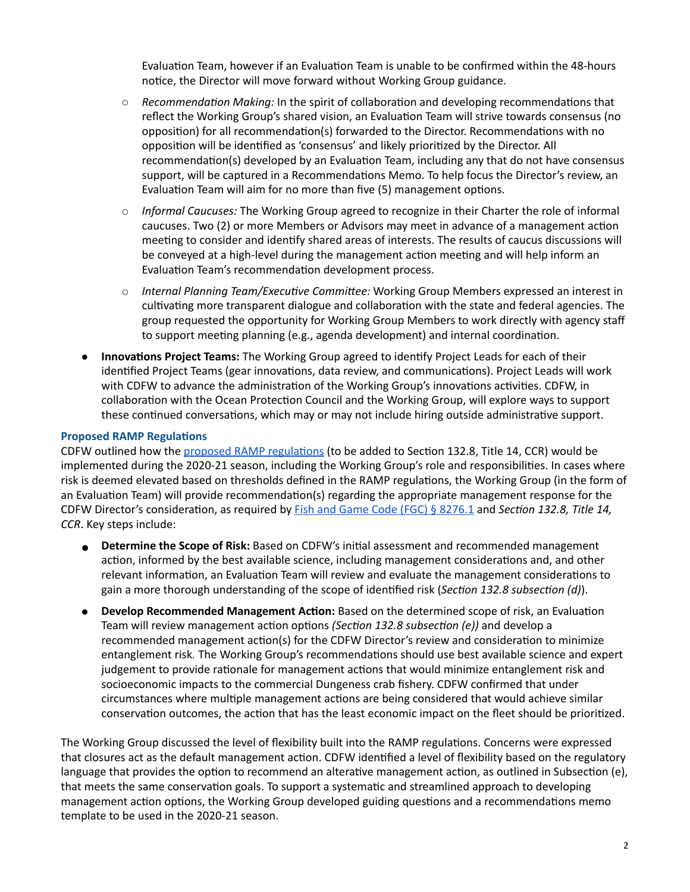Evaluation Team, however if an Evaluation Team is unable to be confirmed within the 48-hours notice, the Director will move forward without Working Group guidance.

- $\circ$  *Recommendation Making:* In the spirit of collaboration and developing recommendations that reflect the Working Group's shared vision, an Evaluation Team will strive towards consensus (no opposition) for all recommendation(s) forwarded to the Director. Recommendations with no opposition will be identified as 'consensus' and likely prioritized by the Director. All recommendation(s) developed by an Evaluation Team, including any that do not have consensus support, will be captured in a Recommendations Memo. To help focus the Director's review, an Evaluation Team will aim for no more than five (5) management options.
- *Informal Caucuses:* The Working Group agreed to recognize in their Charter the role of informal caucuses. Two (2) or more Members or Advisors may meet in advance of a management action meeting to consider and identify shared areas of interests. The results of caucus discussions will be conveyed at a high-level during the management action meeting and will help inform an Evaluation Team's recommendation development process.
- *Internal Planning Team/Executive Committee:* Working Group Members expressed an interest in cultivating more transparent dialogue and collaboration with the state and federal agencies. The group requested the opportunity for Working Group Members to work directly with agency staff to support meeting planning (e.g., agenda development) and internal coordination.
- **Innovations Project Teams:** The Working Group agreed to identify Project Leads for each of their identified Project Teams (gear innovations, data review, and communications). Project Leads will work with CDFW to advance the administration of the Working Group's innovations activities. CDFW, in collaboration with the Ocean Protection Council and the Working Group, will explore ways to support these continued conversations, which may or may not include hiring outside administrative support.

## **Proposed RAMP Regulations**

CDFW outlined how the proposed RAMP regulations (to be added to Section 132.8, Title 14, CCR) would be implemented during the 2020-21 season, including the Working Group's role and responsibilities. In cases where risk is deemed elevated based on thresholds defined in the RAMP regulations, the Working Group (in the form of an Evaluation Team) will provide recommendation(s) regarding the appropriate management response for the CDFW Director's consideration, as required by [Fish and Game Code \(FGC\) § 8276.1](http://leginfo.legislature.ca.gov/faces/codes_displaySection.xhtml?sectionNum=8276.1&lawCode=FGC) and *Section 132.8, Title 14, CCR*. Key steps include:

- **.** Determine the Scope of Risk: Based on CDFW's initial assessment and recommended management action, informed by the best available science, including management considerations and, and other relevant information, an Evaluation Team will review and evaluate the management considerations to gain a more thorough understanding of the scope of identified risk (*Section 132.8 subsection (d)*).
- **.** Develop Recommended Management Action: Based on the determined scope of risk, an Evaluation Team will review management action options *(Section 132.8 subsection (e))* and develop a recommended management action(s) for the CDFW Director's review and consideration to minimize entanglement risk. The Working Group's recommendations should use best available science and expert judgement to provide rationale for management actions that would minimize entanglement risk and socioeconomic impacts to the commercial Dungeness crab fishery. CDFW confirmed that under circumstances where multiple management actions are being considered that would achieve similar conservation outcomes, the action that has the least economic impact on the fleet should be prioritized.

The Working Group discussed the level of flexibility built into the RAMP regulations. Concerns were expressed that closures act as the default management action. CDFW identified a level of flexibility based on the regulatory language that provides the option to recommend an alterative management action, as outlined in Subsection (e), that meets the same conservation goals. To support a systematic and streamlined approach to developing management action options, the Working Group developed guiding questions and a recommendations memo template to be used in the 2020-21 season.